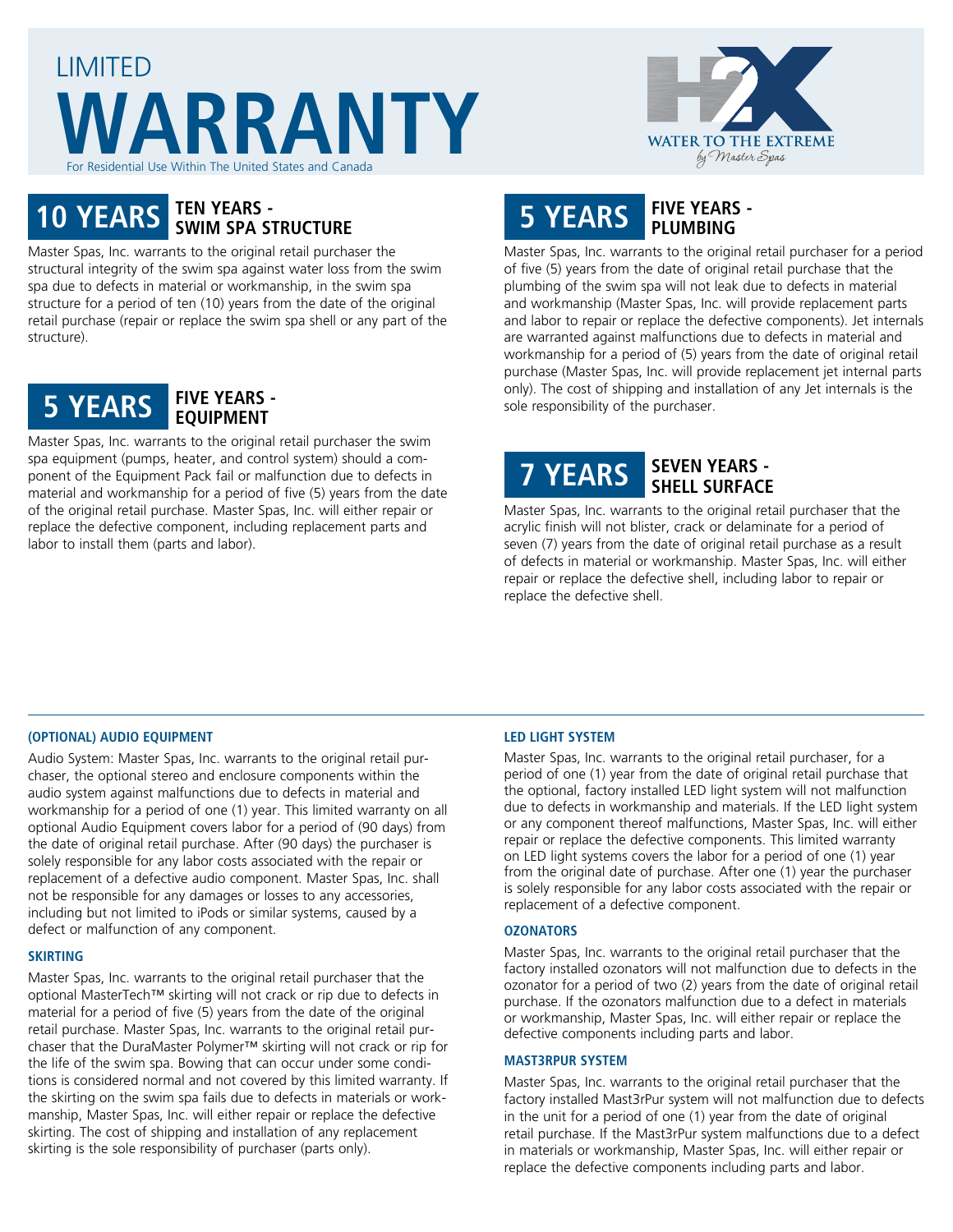# LIMITED **WARRANTY** or Residential Use Within The United States and Canada



# **10 YEARS TEN YEARS - SWIM SPA STRUCTURE**

Master Spas, Inc. warrants to the original retail purchaser the structural integrity of the swim spa against water loss from the swim spa due to defects in material or workmanship, in the swim spa structure for a period of ten (10) years from the date of the original retail purchase (repair or replace the swim spa shell or any part of the structure).



Master Spas, Inc. warrants to the original retail purchaser the swim spa equipment (pumps, heater, and control system) should a component of the Equipment Pack fail or malfunction due to defects in material and workmanship for a period of five (5) years from the date of the original retail purchase. Master Spas, Inc. will either repair or replace the defective component, including replacement parts and labor to install them (parts and labor).

# **5 YEARS FIVE YEARS - PLUMBING**

Master Spas, Inc. warrants to the original retail purchaser for a period of five (5) years from the date of original retail purchase that the plumbing of the swim spa will not leak due to defects in material and workmanship (Master Spas, Inc. will provide replacement parts and labor to repair or replace the defective components). Jet internals are warranted against malfunctions due to defects in material and workmanship for a period of (5) years from the date of original retail purchase (Master Spas, Inc. will provide replacement jet internal parts only). The cost of shipping and installation of any Jet internals is the sole responsibility of the purchaser.

# **7 YEARS SEVEN YEARS - SHELL SURFACE**

Master Spas, Inc. warrants to the original retail purchaser that the acrylic finish will not blister, crack or delaminate for a period of seven (7) years from the date of original retail purchase as a result of defects in material or workmanship. Master Spas, Inc. will either repair or replace the defective shell, including labor to repair or replace the defective shell.

## **(OPTIONAL) AUDIO EQUIPMENT**

Audio System: Master Spas, Inc. warrants to the original retail purchaser, the optional stereo and enclosure components within the audio system against malfunctions due to defects in material and workmanship for a period of one (1) year. This limited warranty on all optional Audio Equipment covers labor for a period of (90 days) from the date of original retail purchase. After (90 days) the purchaser is solely responsible for any labor costs associated with the repair or replacement of a defective audio component. Master Spas, Inc. shall not be responsible for any damages or losses to any accessories, including but not limited to iPods or similar systems, caused by a defect or malfunction of any component.

#### **SKIRTING**

Master Spas, Inc. warrants to the original retail purchaser that the optional MasterTech™ skirting will not crack or rip due to defects in material for a period of five (5) years from the date of the original retail purchase. Master Spas, Inc. warrants to the original retail purchaser that the DuraMaster Polymer™ skirting will not crack or rip for the life of the swim spa. Bowing that can occur under some conditions is considered normal and not covered by this limited warranty. If the skirting on the swim spa fails due to defects in materials or workmanship, Master Spas, Inc. will either repair or replace the defective skirting. The cost of shipping and installation of any replacement skirting is the sole responsibility of purchaser (parts only).

#### **LED LIGHT SYSTEM**

Master Spas, Inc. warrants to the original retail purchaser, for a period of one (1) year from the date of original retail purchase that the optional, factory installed LED light system will not malfunction due to defects in workmanship and materials. If the LED light system or any component thereof malfunctions, Master Spas, Inc. will either repair or replace the defective components. This limited warranty on LED light systems covers the labor for a period of one (1) year from the original date of purchase. After one (1) year the purchaser is solely responsible for any labor costs associated with the repair or replacement of a defective component.

#### **OZONATORS**

Master Spas, Inc. warrants to the original retail purchaser that the factory installed ozonators will not malfunction due to defects in the ozonator for a period of two (2) years from the date of original retail purchase. If the ozonators malfunction due to a defect in materials or workmanship, Master Spas, Inc. will either repair or replace the defective components including parts and labor.

#### **MAST3RPUR SYSTEM**

Master Spas, Inc. warrants to the original retail purchaser that the factory installed Mast3rPur system will not malfunction due to defects in the unit for a period of one (1) year from the date of original retail purchase. If the Mast3rPur system malfunctions due to a defect in materials or workmanship, Master Spas, Inc. will either repair or replace the defective components including parts and labor.